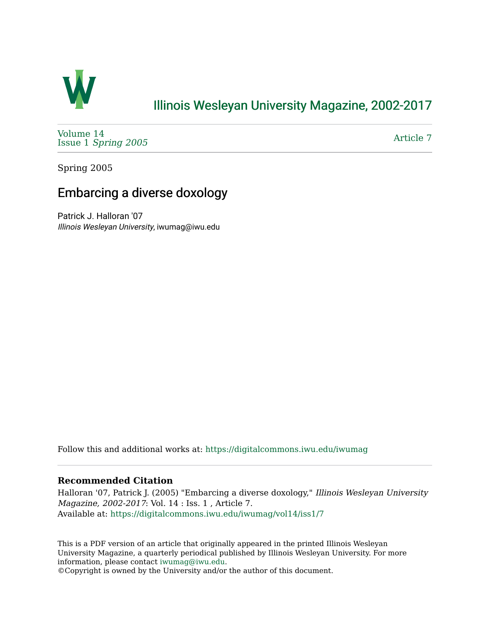

## [Illinois Wesleyan University Magazine, 2002-2017](https://digitalcommons.iwu.edu/iwumag)

[Volume 14](https://digitalcommons.iwu.edu/iwumag/vol14)  Issue 1 [Spring 2005](https://digitalcommons.iwu.edu/iwumag/vol14/iss1)

[Article 7](https://digitalcommons.iwu.edu/iwumag/vol14/iss1/7) 

Spring 2005

# Embarcing a diverse doxology

Patrick J. Halloran '07 Illinois Wesleyan University, iwumag@iwu.edu

Follow this and additional works at: [https://digitalcommons.iwu.edu/iwumag](https://digitalcommons.iwu.edu/iwumag?utm_source=digitalcommons.iwu.edu%2Fiwumag%2Fvol14%2Fiss1%2F7&utm_medium=PDF&utm_campaign=PDFCoverPages) 

#### **Recommended Citation**

Halloran '07, Patrick J. (2005) "Embarcing a diverse doxology," Illinois Wesleyan University Magazine, 2002-2017: Vol. 14 : Iss. 1 , Article 7. Available at: [https://digitalcommons.iwu.edu/iwumag/vol14/iss1/7](https://digitalcommons.iwu.edu/iwumag/vol14/iss1/7?utm_source=digitalcommons.iwu.edu%2Fiwumag%2Fvol14%2Fiss1%2F7&utm_medium=PDF&utm_campaign=PDFCoverPages)

This is a PDF version of an article that originally appeared in the printed Illinois Wesleyan University Magazine, a quarterly periodical published by Illinois Wesleyan University. For more information, please contact [iwumag@iwu.edu](mailto:iwumag@iwu.edu).

©Copyright is owned by the University and/or the author of this document.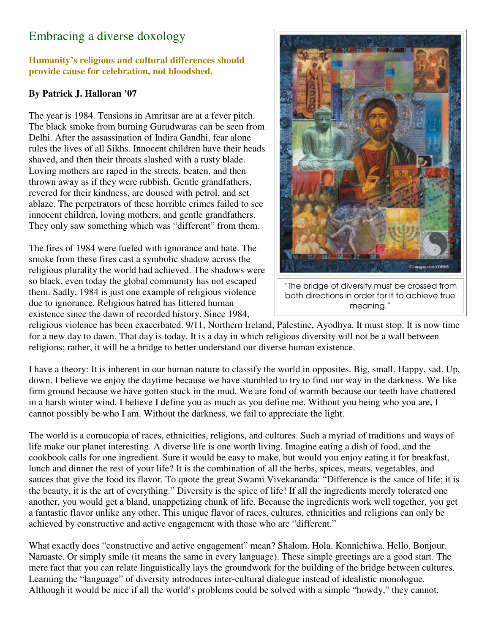## Embracing a diverse doxology

#### **Humanity's religious and cultural differences should provide cause for celebration, not bloodshed.**

### **By Patrick J. Halloran '07**

The year is 1984. Tensions in Amritsar are at a fever pitch. The black smoke from burning Gurudwaras can be seen from Delhi. After the assassination of Indira Gandhi, fear alone rules the lives of all Sikhs. Innocent children have their heads shaved, and then their throats slashed with a rusty blade. Loving mothers are raped in the streets, beaten, and then thrown away as if they were rubbish. Gentle grandfathers, revered for their kindness, are doused with petrol, and set ablaze. The perpetrators of these horrible crimes failed to see innocent children, loving mothers, and gentle grandfathers. They only saw something which was "different" from them.

The fires of 1984 were fueled with ignorance and hate. The smoke from these fires cast a symbolic shadow across the religious plurality the world had achieved. The shadows were so black, even today the global community has not escaped them. Sadly, 1984 is just one example of religious violence due to ignorance. Religious hatred has littered human existence since the dawn of recorded history. Since 1984,



"The bridge of diversity must be crossed from both directions in order for it to achieve true meaning."

religious violence has been exacerbated. 9/11, Northern Ireland, Palestine, Ayodhya. It must stop. It is now time for a new day to dawn. That day is today. It is a day in which religious diversity will not be a wall between religions; rather, it will be a bridge to better understand our diverse human existence.

I have a theory: It is inherent in our human nature to classify the world in opposites. Big, small. Happy, sad. Up, down. I believe we enjoy the daytime because we have stumbled to try to find our way in the darkness. We like firm ground because we have gotten stuck in the mud. We are fond of warmth because our teeth have chattered in a harsh winter wind. I believe I define you as much as you define me. Without you being who you are, I cannot possibly be who I am. Without the darkness, we fail to appreciate the light.

The world is a cornucopia of races, ethnicities, religions, and cultures. Such a myriad of traditions and ways of life make our planet interesting. A diverse life is one worth living. Imagine eating a dish of food, and the cookbook calls for one ingredient. Sure it would be easy to make, but would you enjoy eating it for breakfast, lunch and dinner the rest of your life? It is the combination of all the herbs, spices, meats, vegetables, and sauces that give the food its flavor. To quote the great Swami Vivekananda: "Difference is the sauce of life; it is the beauty, it is the art of everything." Diversity is the spice of life! If all the ingredients merely tolerated one another, you would get a bland, unappetizing chunk of life. Because the ingredients work well together, you get a fantastic flavor unlike any other. This unique flavor of races, cultures, ethnicities and religions can only be achieved by constructive and active engagement with those who are "different."

What exactly does "constructive and active engagement" mean? Shalom. Hola. Konnichiwa. Hello. Bonjour. Namaste. Or simply smile (it means the same in every language). These simple greetings are a good start. The mere fact that you can relate linguistically lays the groundwork for the building of the bridge between cultures. Learning the "language" of diversity introduces inter-cultural dialogue instead of idealistic monologue. Although it would be nice if all the world's problems could be solved with a simple "howdy," they cannot.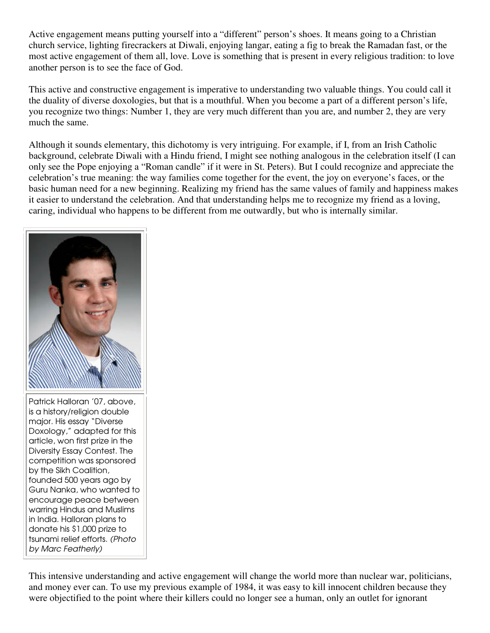Active engagement means putting yourself into a "different" person's shoes. It means going to a Christian church service, lighting firecrackers at Diwali, enjoying langar, eating a fig to break the Ramadan fast, or the most active engagement of them all, love. Love is something that is present in every religious tradition: to love another person is to see the face of God.

This active and constructive engagement is imperative to understanding two valuable things. You could call it the duality of diverse doxologies, but that is a mouthful. When you become a part of a different person's life, you recognize two things: Number 1, they are very much different than you are, and number 2, they are very much the same.

Although it sounds elementary, this dichotomy is very intriguing. For example, if I, from an Irish Catholic background, celebrate Diwali with a Hindu friend, I might see nothing analogous in the celebration itself (I can only see the Pope enjoying a "Roman candle" if it were in St. Peters). But I could recognize and appreciate the celebration's true meaning: the way families come together for the event, the joy on everyone's faces, or the basic human need for a new beginning. Realizing my friend has the same values of family and happiness makes it easier to understand the celebration. And that understanding helps me to recognize my friend as a loving, caring, individual who happens to be different from me outwardly, but who is internally similar.



Patrick Halloran '07, above, is a history/religion double major. His essay "Diverse Doxology," adapted for this article, won first prize in the Diversity Essay Contest. The competition was sponsored by the Sikh Coalition, founded 500 years ago by Guru Nanka, who wanted to encourage peace between warring Hindus and Muslims in India. Halloran plans to donate his \$1,000 prize to tsunami relief efforts. (Photo by Marc Featherly)

This intensive understanding and active engagement will change the world more than nuclear war, politicians, and money ever can. To use my previous example of 1984, it was easy to kill innocent children because they were objectified to the point where their killers could no longer see a human, only an outlet for ignorant